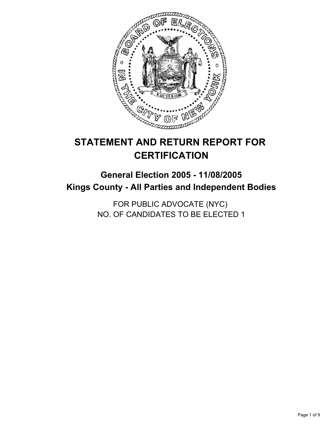

# **STATEMENT AND RETURN REPORT FOR CERTIFICATION**

## **General Election 2005 - 11/08/2005 Kings County - All Parties and Independent Bodies**

FOR PUBLIC ADVOCATE (NYC) NO. OF CANDIDATES TO BE ELECTED 1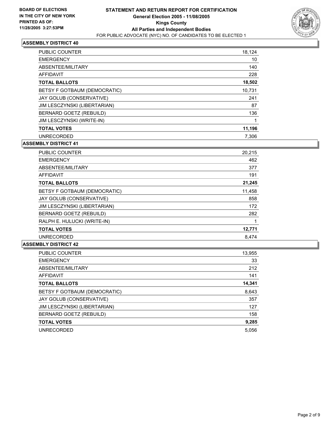

| PUBLIC COUNTER               | 18,124 |
|------------------------------|--------|
| <b>EMERGENCY</b>             | 10     |
| ABSENTEE/MILITARY            | 140    |
| AFFIDAVIT                    | 228    |
| <b>TOTAL BALLOTS</b>         | 18,502 |
| BETSY F GOTBAUM (DEMOCRATIC) | 10.731 |
| JAY GOLUB (CONSERVATIVE)     | 241    |
| JIM LESCZYNSKI (LIBERTARIAN) | 87     |
| BERNARD GOETZ (REBUILD)      | 136    |
| JIM LESCZYNSKI (WRITE-IN)    |        |
| <b>TOTAL VOTES</b>           | 11,196 |
| <b>UNRECORDED</b>            | 7.306  |

#### **ASSEMBLY DISTRICT 41**

| <b>PUBLIC COUNTER</b>        | 20,215 |
|------------------------------|--------|
| <b>EMERGENCY</b>             | 462    |
| ABSENTEE/MILITARY            | 377    |
| AFFIDAVIT                    | 191    |
| <b>TOTAL BALLOTS</b>         | 21,245 |
| BETSY F GOTBAUM (DEMOCRATIC) | 11,458 |
| JAY GOLUB (CONSERVATIVE)     | 858    |
| JIM LESCZYNSKI (LIBERTARIAN) | 172    |
| BERNARD GOETZ (REBUILD)      | 282    |
| RALPH E. HULUCKI (WRITE-IN)  |        |
| <b>TOTAL VOTES</b>           | 12,771 |
| <b>UNRECORDED</b>            | 8,474  |

| PUBLIC COUNTER               | 13,955 |
|------------------------------|--------|
| <b>EMERGENCY</b>             | 33     |
| ABSENTEE/MILITARY            | 212    |
| AFFIDAVIT                    | 141    |
| <b>TOTAL BALLOTS</b>         | 14,341 |
| BETSY F GOTBAUM (DEMOCRATIC) | 8,643  |
| JAY GOLUB (CONSERVATIVE)     | 357    |
| JIM LESCZYNSKI (LIBERTARIAN) | 127    |
| BERNARD GOETZ (REBUILD)      | 158    |
| <b>TOTAL VOTES</b>           | 9,285  |
| <b>UNRECORDED</b>            | 5,056  |
|                              |        |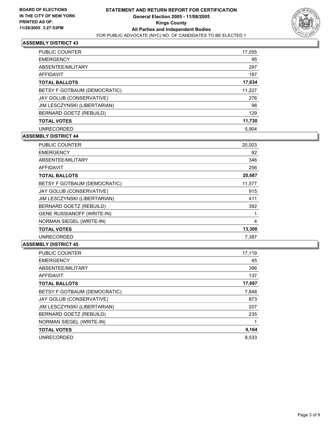

| <b>PUBLIC COUNTER</b>        | 17,055 |  |
|------------------------------|--------|--|
| <b>EMERGENCY</b>             | 95     |  |
| ABSENTEE/MILITARY            | 297    |  |
| <b>AFFIDAVIT</b>             | 187    |  |
| <b>TOTAL BALLOTS</b>         | 17,634 |  |
| BETSY F GOTBAUM (DEMOCRATIC) | 11,227 |  |
| JAY GOLUB (CONSERVATIVE)     | 276    |  |
| JIM LESCZYNSKI (LIBERTARIAN) | 98     |  |
| BERNARD GOETZ (REBUILD)      | 129    |  |
| <b>TOTAL VOTES</b>           | 11,730 |  |
| <b>UNRECORDED</b>            | 5.904  |  |

## **ASSEMBLY DISTRICT 44**

| <b>PUBLIC COUNTER</b>             | 20,003 |
|-----------------------------------|--------|
| <b>EMERGENCY</b>                  | 82     |
| ABSENTEE/MILITARY                 | 346    |
| <b>AFFIDAVIT</b>                  | 256    |
| <b>TOTAL BALLOTS</b>              | 20,687 |
| BETSY F GOTBAUM (DEMOCRATIC)      | 11,577 |
| JAY GOLUB (CONSERVATIVE)          | 915    |
| JIM LESCZYNSKI (LIBERTARIAN)      | 411    |
| BERNARD GOETZ (REBUILD)           | 392    |
| <b>GENE RUSSIANOFF (WRITE-IN)</b> |        |
| NORMAN SIEGEL (WRITE-IN)          | 4      |
| <b>TOTAL VOTES</b>                | 13,300 |
| <b>UNRECORDED</b>                 | 7,387  |

| PUBLIC COUNTER               | 17,119 |
|------------------------------|--------|
| <b>EMERGENCY</b>             | 45     |
| ABSENTEE/MILITARY            | 396    |
| AFFIDAVIT                    | 137    |
| <b>TOTAL BALLOTS</b>         | 17,697 |
| BETSY F GOTBAUM (DEMOCRATIC) | 7,848  |
| JAY GOLUB (CONSERVATIVE)     | 873    |
| JIM LESCZYNSKI (LIBERTARIAN) | 207    |
| BERNARD GOETZ (REBUILD)      | 235    |
| NORMAN SIEGEL (WRITE-IN)     |        |
| <b>TOTAL VOTES</b>           | 9,164  |
| <b>UNRECORDED</b>            | 8.533  |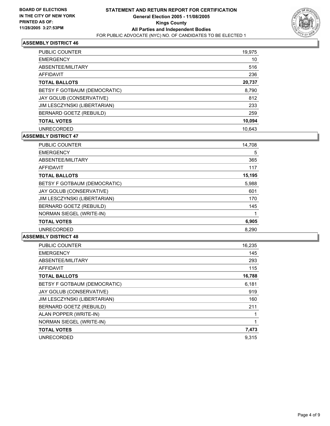

| PUBLIC COUNTER               | 19,975 |  |
|------------------------------|--------|--|
| <b>EMERGENCY</b>             | 10     |  |
| ABSENTEE/MILITARY            | 516    |  |
| AFFIDAVIT                    | 236    |  |
| <b>TOTAL BALLOTS</b>         | 20,737 |  |
| BETSY F GOTBAUM (DEMOCRATIC) | 8,790  |  |
| JAY GOLUB (CONSERVATIVE)     | 812    |  |
| JIM LESCZYNSKI (LIBERTARIAN) | 233    |  |
| BERNARD GOETZ (REBUILD)      | 259    |  |
| <b>TOTAL VOTES</b>           | 10,094 |  |
| <b>UNRECORDED</b>            | 10.643 |  |

## **ASSEMBLY DISTRICT 47**

| <b>PUBLIC COUNTER</b>        | 14,708 |  |
|------------------------------|--------|--|
| <b>EMERGENCY</b>             | 5      |  |
| ABSENTEE/MILITARY            | 365    |  |
| AFFIDAVIT                    | 117    |  |
| <b>TOTAL BALLOTS</b>         | 15,195 |  |
| BETSY F GOTBAUM (DEMOCRATIC) | 5,988  |  |
| JAY GOLUB (CONSERVATIVE)     | 601    |  |
| JIM LESCZYNSKI (LIBERTARIAN) | 170    |  |
| BERNARD GOETZ (REBUILD)      | 145    |  |
| NORMAN SIEGEL (WRITE-IN)     |        |  |
| <b>TOTAL VOTES</b>           | 6,905  |  |
| <b>UNRECORDED</b>            | 8.290  |  |

| <b>PUBLIC COUNTER</b>        | 16,235 |
|------------------------------|--------|
| <b>EMERGENCY</b>             | 145    |
| ABSENTEE/MILITARY            | 293    |
| AFFIDAVIT                    | 115    |
| <b>TOTAL BALLOTS</b>         | 16,788 |
| BETSY F GOTBAUM (DEMOCRATIC) | 6,181  |
| JAY GOLUB (CONSERVATIVE)     | 919    |
| JIM LESCZYNSKI (LIBERTARIAN) | 160    |
| BERNARD GOETZ (REBUILD)      | 211    |
| ALAN POPPER (WRITE-IN)       |        |
| NORMAN SIEGEL (WRITE-IN)     |        |
| <b>TOTAL VOTES</b>           | 7,473  |
| <b>UNRECORDED</b>            | 9.315  |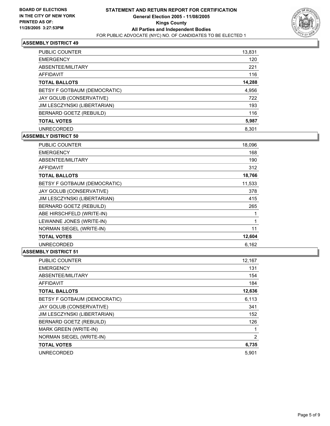

| PUBLIC COUNTER               | 13,831 |
|------------------------------|--------|
| <b>EMERGENCY</b>             | 120    |
| ABSENTEE/MILITARY            | 221    |
| AFFIDAVIT                    | 116    |
| <b>TOTAL BALLOTS</b>         | 14,288 |
| BETSY F GOTBAUM (DEMOCRATIC) | 4,956  |
| JAY GOLUB (CONSERVATIVE)     | 722    |
| JIM LESCZYNSKI (LIBERTARIAN) | 193    |
| BERNARD GOETZ (REBUILD)      | 116    |
| <b>TOTAL VOTES</b>           | 5,987  |
| <b>UNRECORDED</b>            | 8.301  |

## **ASSEMBLY DISTRICT 50**

| <b>PUBLIC COUNTER</b>        | 18,096 |
|------------------------------|--------|
| <b>EMERGENCY</b>             | 168    |
| ABSENTEE/MILITARY            | 190    |
| <b>AFFIDAVIT</b>             | 312    |
| <b>TOTAL BALLOTS</b>         | 18,766 |
| BETSY F GOTBAUM (DEMOCRATIC) | 11,533 |
| JAY GOLUB (CONSERVATIVE)     | 378    |
| JIM LESCZYNSKI (LIBERTARIAN) | 415    |
| BERNARD GOETZ (REBUILD)      | 265    |
| ABE HIRSCHFELD (WRITE-IN)    |        |
| LEWANNE JONES (WRITE-IN)     |        |
| NORMAN SIEGEL (WRITE-IN)     | 11     |
| <b>TOTAL VOTES</b>           | 12,604 |
| <b>UNRECORDED</b>            | 6,162  |

| <b>PUBLIC COUNTER</b>        | 12,167 |
|------------------------------|--------|
| <b>EMERGENCY</b>             | 131    |
| ABSENTEE/MILITARY            | 154    |
| <b>AFFIDAVIT</b>             | 184    |
| <b>TOTAL BALLOTS</b>         | 12,636 |
| BETSY F GOTBAUM (DEMOCRATIC) | 6,113  |
| JAY GOLUB (CONSERVATIVE)     | 341    |
| JIM LESCZYNSKI (LIBERTARIAN) | 152    |
| BERNARD GOETZ (REBUILD)      | 126    |
| <b>MARK GREEN (WRITE-IN)</b> |        |
| NORMAN SIEGEL (WRITE-IN)     | 2      |
| <b>TOTAL VOTES</b>           | 6,735  |
| <b>UNRECORDED</b>            | 5.901  |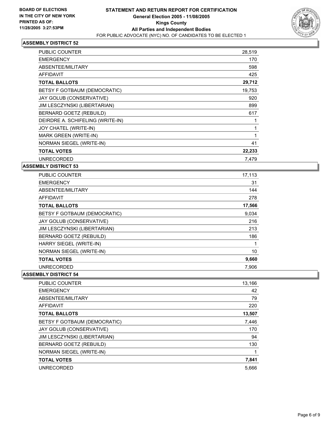

| <b>PUBLIC COUNTER</b>            | 28,519 |
|----------------------------------|--------|
| <b>EMERGENCY</b>                 | 170    |
| ABSENTEE/MILITARY                | 598    |
| <b>AFFIDAVIT</b>                 | 425    |
| <b>TOTAL BALLOTS</b>             | 29,712 |
| BETSY F GOTBAUM (DEMOCRATIC)     | 19,753 |
| JAY GOLUB (CONSERVATIVE)         | 920    |
| JIM LESCZYNSKI (LIBERTARIAN)     | 899    |
| BERNARD GOETZ (REBUILD)          | 617    |
| DEIRDRE A. SCHIFELING (WRITE-IN) |        |
| JOY CHATEL (WRITE-IN)            |        |
| MARK GREEN (WRITE-IN)            |        |
| NORMAN SIEGEL (WRITE-IN)         | 41     |
| <b>TOTAL VOTES</b>               | 22,233 |
| <b>UNRECORDED</b>                | 7,479  |

## **ASSEMBLY DISTRICT 53**

| <b>PUBLIC COUNTER</b>        | 17,113 |
|------------------------------|--------|
| <b>EMERGENCY</b>             | 31     |
| ABSENTEE/MILITARY            | 144    |
| <b>AFFIDAVIT</b>             | 278    |
| <b>TOTAL BALLOTS</b>         | 17,566 |
| BETSY F GOTBAUM (DEMOCRATIC) | 9.034  |
| JAY GOLUB (CONSERVATIVE)     | 216    |
| JIM LESCZYNSKI (LIBERTARIAN) | 213    |
| BERNARD GOETZ (REBUILD)      | 186    |
| HARRY SIEGEL (WRITE-IN)      |        |
| NORMAN SIEGEL (WRITE-IN)     | 10     |
| <b>TOTAL VOTES</b>           | 9,660  |
| <b>UNRECORDED</b>            | 7,906  |

| <b>PUBLIC COUNTER</b>        | 13,166 |  |
|------------------------------|--------|--|
| <b>EMERGENCY</b>             | 42     |  |
| ABSENTEE/MILITARY            | 79     |  |
| AFFIDAVIT                    | 220    |  |
| <b>TOTAL BALLOTS</b>         | 13,507 |  |
| BETSY F GOTBAUM (DEMOCRATIC) | 7,446  |  |
| JAY GOLUB (CONSERVATIVE)     | 170    |  |
| JIM LESCZYNSKI (LIBERTARIAN) | 94     |  |
| BERNARD GOETZ (REBUILD)      | 130    |  |
| NORMAN SIEGEL (WRITE-IN)     |        |  |
| <b>TOTAL VOTES</b>           | 7,841  |  |
| <b>UNRECORDED</b>            | 5,666  |  |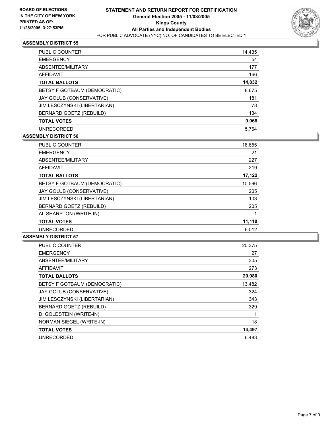

| PUBLIC COUNTER               | 14,435 |
|------------------------------|--------|
| <b>EMERGENCY</b>             | 54     |
| ABSENTEE/MILITARY            | 177    |
| AFFIDAVIT                    | 166    |
| <b>TOTAL BALLOTS</b>         | 14,832 |
| BETSY F GOTBAUM (DEMOCRATIC) | 8,675  |
| JAY GOLUB (CONSERVATIVE)     | 181    |
| JIM LESCZYNSKI (LIBERTARIAN) | 78     |
| BERNARD GOETZ (REBUILD)      | 134    |
| <b>TOTAL VOTES</b>           | 9,068  |
| <b>UNRECORDED</b>            | 5.764  |

## **ASSEMBLY DISTRICT 56**

| <b>PUBLIC COUNTER</b>        | 16,655 |
|------------------------------|--------|
| <b>EMERGENCY</b>             | 21     |
| ABSENTEE/MILITARY            | 227    |
| <b>AFFIDAVIT</b>             | 219    |
| <b>TOTAL BALLOTS</b>         | 17,122 |
| BETSY F GOTBAUM (DEMOCRATIC) | 10,596 |
| JAY GOLUB (CONSERVATIVE)     | 205    |
| JIM LESCZYNSKI (LIBERTARIAN) | 103    |
| BERNARD GOETZ (REBUILD)      | 205    |
| AL SHARPTON (WRITE-IN)       |        |
| <b>TOTAL VOTES</b>           | 11,110 |
| <b>UNRECORDED</b>            | 6.012  |

| <b>PUBLIC COUNTER</b>        | 20,375 |
|------------------------------|--------|
| <b>EMERGENCY</b>             | 27     |
| ABSENTEE/MILITARY            | 305    |
| <b>AFFIDAVIT</b>             | 273    |
| <b>TOTAL BALLOTS</b>         | 20,980 |
| BETSY F GOTBAUM (DEMOCRATIC) | 13,482 |
| JAY GOLUB (CONSERVATIVE)     | 324    |
| JIM LESCZYNSKI (LIBERTARIAN) | 343    |
| BERNARD GOETZ (REBUILD)      | 329    |
| D. GOLDSTEIN (WRITE-IN)      |        |
| NORMAN SIEGEL (WRITE-IN)     | 18     |
| <b>TOTAL VOTES</b>           | 14,497 |
| <b>UNRECORDED</b>            | 6.483  |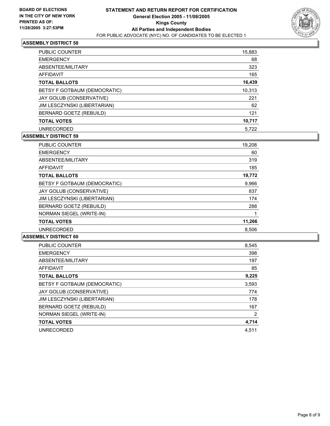

| <b>PUBLIC COUNTER</b>        | 15,883 |
|------------------------------|--------|
| <b>EMERGENCY</b>             | 68     |
| ABSENTEE/MILITARY            | 323    |
| <b>AFFIDAVIT</b>             | 165    |
| <b>TOTAL BALLOTS</b>         | 16,439 |
| BETSY F GOTBAUM (DEMOCRATIC) | 10,313 |
| JAY GOLUB (CONSERVATIVE)     | 221    |
| JIM LESCZYNSKI (LIBERTARIAN) | 62     |
| BERNARD GOETZ (REBUILD)      | 121    |
| <b>TOTAL VOTES</b>           | 10,717 |
| <b>UNRECORDED</b>            | 5,722  |

## **ASSEMBLY DISTRICT 59**

| <b>PUBLIC COUNTER</b>        | 19,208 |
|------------------------------|--------|
| <b>EMERGENCY</b>             | 60     |
| ABSENTEE/MILITARY            | 319    |
| <b>AFFIDAVIT</b>             | 185    |
| <b>TOTAL BALLOTS</b>         | 19,772 |
| BETSY F GOTBAUM (DEMOCRATIC) | 9,966  |
| JAY GOLUB (CONSERVATIVE)     | 837    |
| JIM LESCZYNSKI (LIBERTARIAN) | 174    |
| BERNARD GOETZ (REBUILD)      | 288    |
| NORMAN SIEGEL (WRITE-IN)     |        |
| <b>TOTAL VOTES</b>           | 11,266 |
| <b>UNRECORDED</b>            | 8.506  |

| <b>PUBLIC COUNTER</b>        | 8,545 |
|------------------------------|-------|
| <b>EMERGENCY</b>             | 398   |
| ABSENTEE/MILITARY            | 197   |
| <b>AFFIDAVIT</b>             | 85    |
| <b>TOTAL BALLOTS</b>         | 9,225 |
| BETSY F GOTBAUM (DEMOCRATIC) | 3,593 |
| JAY GOLUB (CONSERVATIVE)     | 774   |
| JIM LESCZYNSKI (LIBERTARIAN) | 178   |
| BERNARD GOETZ (REBUILD)      | 167   |
| NORMAN SIEGEL (WRITE-IN)     | 2     |
| <b>TOTAL VOTES</b>           | 4,714 |
| <b>UNRECORDED</b>            | 4,511 |